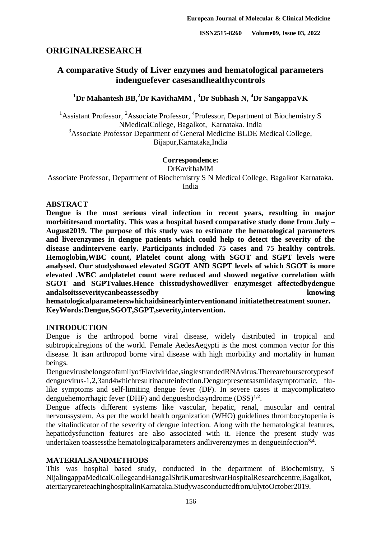**ISSN2515-8260 Volume09, Issue 03, 2022**

## **ORIGINALRESEARCH**

## **A comparative Study of Liver enzymes and hematological parameters indenguefever casesandhealthycontrols**

# **<sup>1</sup>Dr Mahantesh BB,<sup>2</sup>Dr KavithaMM , <sup>3</sup>Dr Subhash N, <sup>4</sup>Dr SangappaVK**

<sup>1</sup> Assistant Professor, <sup>2</sup> Associate Professor, <sup>4</sup> Professor, Department of Biochemistry S NMedicalCollege, Bagalkot, Karnataka. India <sup>3</sup>Associate Professor Department of General Medicine BLDE Medical College, Bijapur,Karnataka,India

### **Correspondence:**

DrKavithaMM

Associate Professor, Department of Biochemistry S N Medical College, Bagalkot Karnataka. India

### **ABSTRACT**

**Dengue is the most serious viral infection in recent years, resulting in major morbititesand mortality. This was a hospital based comparative study done from July – August2019. The purpose of this study was to estimate the hematological parameters and liverenzymes in dengue patients which could help to detect the severity of the disease andintervene early. Participants included 75 cases and 75 healthy controls. Hemoglobin,WBC count, Platelet count along with SGOT and SGPT levels were analysed. Our studyshowed elevated SGOT AND SGPT levels of which SGOT is more elevated .WBC andplatelet count were reduced and showed negative correlation with SGOT and SGPTvalues.Hence thisstudyshowedliver enzymesget affectedbydengue andalsoitsseveritycanbeassessedby knowing** 

**hematologicalparameterswhichaidsinearlyinterventionand initiatethetreatment sooner. KeyWords:Dengue,SGOT,SGPT,severity,intervention.**

### **INTRODUCTION**

Dengue is the arthropod borne viral disease, widely distributed in tropical and subtropicalregions of the world. Female AedesAegypti is the most common vector for this disease. It isan arthropod borne viral disease with high morbidity and mortality in human beings.

DenguevirusbelongstofamilyofFlaviviridae,singlestrandedRNAvirus.Therearefourserotypesof denguevirus-1,2,3and4whichresultinacuteinfection.Denguepresentsasmildasymptomatic, flulike symptoms and self-limiting dengue fever (DF). In severe cases it maycomplicateto denguehemorrhagic fever (DHF) and dengueshocksyndrome (DSS)**1,2** .

Dengue affects different systems like vascular, hepatic, renal, muscular and central nervoussystem. As per the world health organization (WHO) guidelines thrombocytopenia is the vitalindicator of the severity of dengue infection. Along with the hematological features, hepaticdysfunction features are also associated with it. Hence the present study was undertaken toassessthe hematologicalparameters andliverenzymes in dengueinfection**3,4** .

### **MATERIALSANDMETHODS**

This was hospital based study, conducted in the department of Biochemistry, S NijalingappaMedicalCollegeandHanagalShriKumareshwarHospitalResearchcentre,Bagalkot, atertiarycareteachinghospitalinKarnataka.StudywasconductedfromJulytoOctober2019.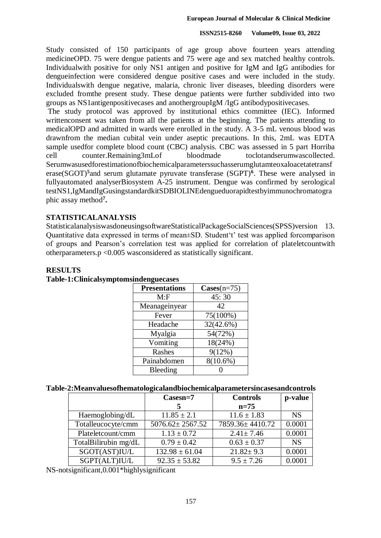#### **ISSN2515-8260 Volume09, Issue 03, 2022**

Study consisted of 150 participants of age group above fourteen years attending medicineOPD. 75 were dengue patients and 75 were age and sex matched healthy controls. Individualwith positive for only NS1 antigen and positive for IgM and IgG antibodies for dengueinfection were considered dengue positive cases and were included in the study. Individualswith dengue negative, malaria, chronic liver diseases, bleeding disorders were excluded fromthe present study. These dengue patients were further subdivided into two groups as NS1antigenpositivecases and anothergroupIgM /IgG antibodypositivecases.

The study protocol was approved by institutional ethics committee (IEC). Informed writtenconsent was taken from all the patients at the beginning. The patients attending to medicalOPD and admitted in wards were enrolled in the study. A 3-5 mL venous blood was drawnfrom the median cubital vein under aseptic precautions. In this, 2mL was EDTA sample usedfor complete blood count (CBC) analysis. CBC was assessed in 5 part Horriba cell counter.Remaining3mLof bloodmade toclotandserumwascollected. Serumwasusedforestimationofbiochemicalparameterssuchasserumglutamteoxaloacetatetransf erase(SGOT)**<sup>5</sup>** and serum glutamate pyruvate transferase (SGPT)**<sup>6</sup>** . These were analysed in fullyautomated analyserBiosystem A-25 instrument. Dengue was confirmed by serological testNS1,IgMandIgGusingstandardkitSDBIOLINEdengueduorapidtestbyimmunochromatogra phic assay method**<sup>7</sup> .**

### **STATISTICALANALYSIS**

StatisticalanalysiswasdoneusingsoftwareStatisticalPackageSocialSciences(SPSS)version 13. Quantitative data expressed in terms of mean±SD. Student't' test was applied forcomparison of groups and Pearson's correlation test was applied for correlation of plateletcountwith otherparameters.p <0.005 wasconsidered as statistically significant.

| <b>Presentations</b> | $\text{Cases}(n=75)$ |
|----------------------|----------------------|
| M: F                 | 45:30                |
| Meanageinyear        | 42                   |
| Fever                | 75(100%)             |
| Headache             | 32(42.6%)            |
| Myalgia              | 54(72%)              |
| Vomiting             | 18(24%)              |
| Rashes               | 9(12%)               |
| Painabdomen          | $8(10.6\%)$          |
| Bleeding             |                      |

## **RESULTS**

| ---------- |                                       |
|------------|---------------------------------------|
|            | Table-1:Clinicalsymptomsindenguecases |

#### **Table-2:Meanvaluesofhematologicalandbiochemicalparametersincasesandcontrols**

|                      | Casesn=7              | <b>Controls</b> | p-value   |
|----------------------|-----------------------|-----------------|-----------|
|                      |                       | $n=75$          |           |
| Haemoglobing/dL      | $11.85 \pm 2.1$       | $11.6 \pm 1.83$ | <b>NS</b> |
| Totalleucocyte/cmm   | $5076.62 \pm 2567.52$ | 7859.36±4410.72 | 0.0001    |
| Plateletcount/cmm    | $1.13 \pm 0.72$       | $2.41 \pm 7.46$ | 0.0001    |
| TotalBilirubin mg/dL | $0.79 \pm 0.42$       | $0.63 \pm 0.37$ | <b>NS</b> |
| SGOT(AST)IU/L        | $132.98 \pm 61.04$    | $21.82 \pm 9.3$ | 0.0001    |
| SGPT(ALT)IU/L        | $92.35 \pm 53.82$     | $9.5 \pm 7.26$  | 0.0001    |

NS-notsignificant,0.001\*highlysignificant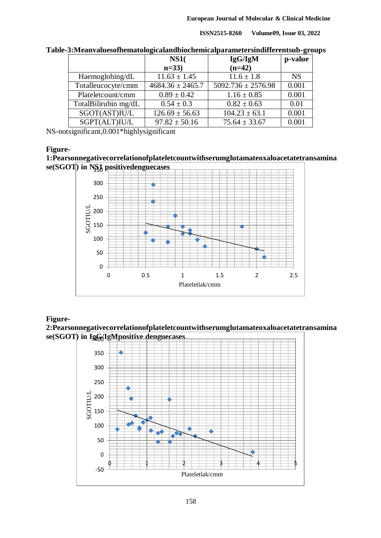**ISSN2515-8260 Volume09, Issue 03, 2022**

|                      | <b>NS1</b> (         | IgG/IgM                | p-value   |
|----------------------|----------------------|------------------------|-----------|
|                      | $n=33$               | $(n=42)$               |           |
| Haemoglobing/dL      | $11.63 \pm 1.45$     | $11.6 \pm 1.8$         | <b>NS</b> |
| Totalleucocyte/cmm   | $4684.36 \pm 2465.7$ | $5092.736 \pm 2576.98$ | 0.001     |
| Plateletcount/cmm    | $0.89 \pm 0.42$      | $1.16 \pm 0.85$        | 0.001     |
| TotalBilirubin mg/dL | $0.54 \pm 0.3$       | $0.82 \pm 0.63$        | 0.01      |
| SGOT(AST)IUL         | $126.69 \pm 56.63$   | $104.23 \pm 63.1$      | 0.001     |
| SGPT(ALT)IU/L        | $97.82 \pm 50.16$    | $75.64 \pm 33.67$      | 0.001     |

**Table-3:Meanvaluesofhematologicalandbiochemicalparametersindifferentsub-groups**

NS-notsignificant,0.001\*highlysignificant

### **Figure-**

**1:Pearsonnegativecorrelationofplateletcountwithserumglutamateoxaloacetatetransamina se(SGOT) in NS1 positivedenguecases** 350



### **Figure-**

**2:Pearsonnegativecorrelationofplateletcountwithserumglutamateoxaloacetatetransamina se(SGOT) in IgG/IgMpositive denguecases** 400

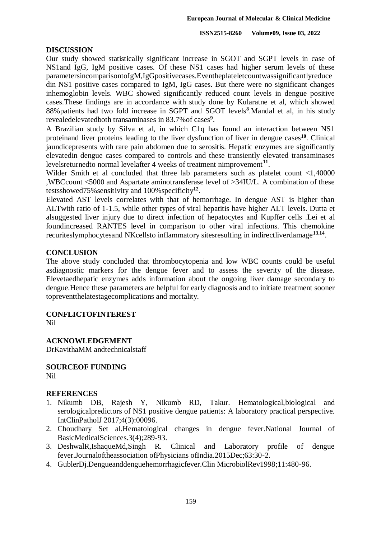### **DISCUSSION**

Our study showed statistically significant increase in SGOT and SGPT levels in case of NS1and IgG, IgM positive cases. Of these NS1 cases had higher serum levels of these parametersincomparisontoIgM,IgGpositivecases.Eventheplateletcountwassignificantlyreduce din NS1 positive cases compared to IgM, IgG cases. But there were no significant changes inhemoglobin levels. WBC showed significantly reduced count levels in dengue positive cases.These findings are in accordance with study done by Kularatne et al, which showed 88%patients had two fold increase in SGPT and SGOT levels**<sup>8</sup>** .Mandal et al, in his study revealedelevatedboth transaminases in 83.7%of cases**<sup>9</sup>** .

A Brazilian study by Silva et al, in which C1q has found an interaction between NS1 proteinand liver proteins leading to the liver dysfunction of liver in dengue cases**<sup>10</sup>**. Clinical jaundicepresents with rare pain abdomen due to serositis. Hepatic enzymes are significantly elevatedin dengue cases compared to controls and these transiently elevated transaminases levelsreturnedto normal levelafter 4 weeks of treatment nimprovement**<sup>11</sup>** .

Wilder Smith et al concluded that three lab parameters such as platelet count <1,40000 ,WBCcount <5000 and Aspartate aminotransferase level of >34IU/L. A combination of these testsshowed75%sensitivity and 100%specificity**<sup>12</sup>** .

Elevated AST levels correlates with that of hemorrhage. In dengue AST is higher than ALTwith ratio of 1-1.5, while other types of viral hepatitis have higher ALT levels. Dutta et alsuggested liver injury due to direct infection of hepatocytes and Kupffer cells .Lei et al foundincreased RANTES level in comparison to other viral infections. This chemokine recuriteslymphocytesand NKcellsto inflammatory sitesresulting in indirectliverdamage**13,14** .

### **CONCLUSION**

The above study concluded that thrombocytopenia and low WBC counts could be useful asdiagnostic markers for the dengue fever and to assess the severity of the disease. Elevetaedhepatic enzymes adds information about the ongoing liver damage secondary to dengue.Hence these parameters are helpful for early diagnosis and to initiate treatment sooner topreventthelatestagecomplications and mortality.

### **CONFLICTOFINTEREST**

Nil

### **ACKNOWLEDGEMENT**

DrKavithaMM andtechnicalstaff

**SOURCEOF FUNDING** Nil

### **REFERENCES**

- 1. Nikumb DB, Rajesh Y, Nikumb RD, Takur. Hematological,biological and serologicalpredictors of NS1 positive dengue patients: A laboratory practical perspective. IntClinPatholJ 2017;4(3):00096.
- 2. Choudhary Set al.Hematological changes in dengue fever.National Journal of BasicMedicalSciences.3(4);289-93.
- 3. DeshwalR,IshaqueMd,Singh R. Clinical and Laboratory profile of dengue fever.Journaloftheassociation ofPhysicians ofIndia.2015Dec;63:30-2.
- 4. GublerDj.Dengueanddenguehemorrhagicfever.Clin MicrobiolRev1998;11:480-96.